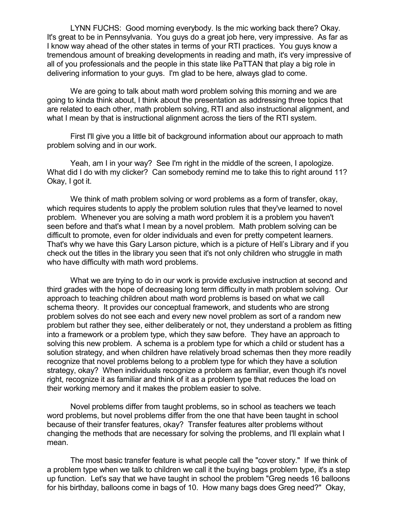LYNN FUCHS: Good morning everybody. Is the mic working back there? Okay. It's great to be in Pennsylvania. You guys do a great job here, very impressive. As far as I know way ahead of the other states in terms of your RTI practices. You guys know a tremendous amount of breaking developments in reading and math, it's very impressive of all of you professionals and the people in this state like PaTTAN that play a big role in delivering information to your guys. I'm glad to be here, always glad to come.

We are going to talk about math word problem solving this morning and we are going to kinda think about, I think about the presentation as addressing three topics that are related to each other, math problem solving, RTI and also instructional alignment, and what I mean by that is instructional alignment across the tiers of the RTI system.

First I'll give you a little bit of background information about our approach to math problem solving and in our work.

Yeah, am I in your way? See I'm right in the middle of the screen, I apologize. What did I do with my clicker? Can somebody remind me to take this to right around 11? Okay, I got it.

We think of math problem solving or word problems as a form of transfer, okay, which requires students to apply the problem solution rules that they've learned to novel problem. Whenever you are solving a math word problem it is a problem you haven't seen before and that's what I mean by a novel problem. Math problem solving can be difficult to promote, even for older individuals and even for pretty competent learners. That's why we have this Gary Larson picture, which is a picture of Hell's Library and if you check out the titles in the library you seen that it's not only children who struggle in math who have difficulty with math word problems.

What we are trying to do in our work is provide exclusive instruction at second and third grades with the hope of decreasing long term difficulty in math problem solving. Our approach to teaching children about math word problems is based on what we call schema theory. It provides our conceptual framework, and students who are strong problem solves do not see each and every new novel problem as sort of a random new problem but rather they see, either deliberately or not, they understand a problem as fitting into a framework or a problem type, which they saw before. They have an approach to solving this new problem. A schema is a problem type for which a child or student has a solution strategy, and when children have relatively broad schemas then they more readily recognize that novel problems belong to a problem type for which they have a solution strategy, okay? When individuals recognize a problem as familiar, even though it's novel right, recognize it as familiar and think of it as a problem type that reduces the load on their working memory and it makes the problem easier to solve.

Novel problems differ from taught problems, so in school as teachers we teach word problems, but novel problems differ from the one that have been taught in school because of their transfer features, okay? Transfer features alter problems without changing the methods that are necessary for solving the problems, and I'll explain what I mean.

The most basic transfer feature is what people call the "cover story." If we think of a problem type when we talk to children we call it the buying bags problem type, it's a step up function. Let's say that we have taught in school the problem "Greg needs 16 balloons for his birthday, balloons come in bags of 10. How many bags does Greg need?" Okay,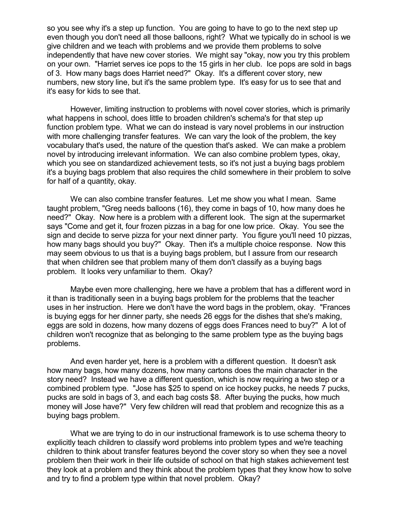so you see why it's a step up function. You are going to have to go to the next step up even though you don't need all those balloons, right? What we typically do in school is we give children and we teach with problems and we provide them problems to solve independently that have new cover stories. We might say "okay, now you try this problem on your own. "Harriet serves ice pops to the 15 girls in her club. Ice pops are sold in bags of 3. How many bags does Harriet need?" Okay. It's a different cover story, new numbers, new story line, but it's the same problem type. It's easy for us to see that and it's easy for kids to see that.

However, limiting instruction to problems with novel cover stories, which is primarily what happens in school, does little to broaden children's schema's for that step up function problem type. What we can do instead is vary novel problems in our instruction with more challenging transfer features. We can vary the look of the problem, the key vocabulary that's used, the nature of the question that's asked. We can make a problem novel by introducing irrelevant information. We can also combine problem types, okay, which you see on standardized achievement tests, so it's not just a buying bags problem it's a buying bags problem that also requires the child somewhere in their problem to solve for half of a quantity, okay.

We can also combine transfer features. Let me show you what I mean. Same taught problem, "Greg needs balloons (16), they come in bags of 10, how many does he need?" Okay. Now here is a problem with a different look. The sign at the supermarket says "Come and get it, four frozen pizzas in a bag for one low price. Okay. You see the sign and decide to serve pizza for your next dinner party. You figure you'll need 10 pizzas, how many bags should you buy?" Okay. Then it's a multiple choice response. Now this may seem obvious to us that is a buying bags problem, but I assure from our research that when children see that problem many of them don't classify as a buying bags problem. It looks very unfamiliar to them. Okay?

Maybe even more challenging, here we have a problem that has a different word in it than is traditionally seen in a buying bags problem for the problems that the teacher uses in her instruction. Here we don't have the word bags in the problem, okay. "Frances is buying eggs for her dinner party, she needs 26 eggs for the dishes that she's making, eggs are sold in dozens, how many dozens of eggs does Frances need to buy?" A lot of children won't recognize that as belonging to the same problem type as the buying bags problems.

And even harder yet, here is a problem with a different question. It doesn't ask how many bags, how many dozens, how many cartons does the main character in the story need? Instead we have a different question, which is now requiring a two step or a combined problem type. "Jose has \$25 to spend on ice hockey pucks, he needs 7 pucks, pucks are sold in bags of 3, and each bag costs \$8. After buying the pucks, how much money will Jose have?" Very few children will read that problem and recognize this as a buying bags problem.

What we are trying to do in our instructional framework is to use schema theory to explicitly teach children to classify word problems into problem types and we're teaching children to think about transfer features beyond the cover story so when they see a novel problem then their work in their life outside of school on that high stakes achievement test they look at a problem and they think about the problem types that they know how to solve and try to find a problem type within that novel problem. Okay?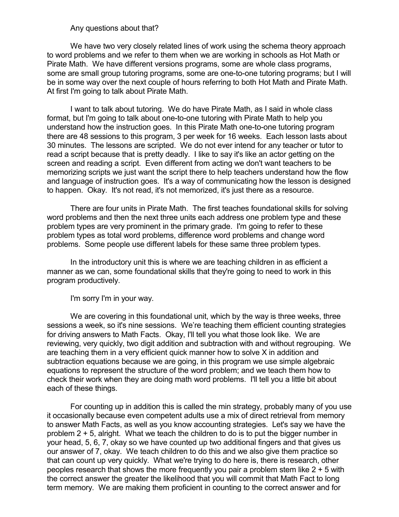#### Any questions about that?

We have two very closely related lines of work using the schema theory approach to word problems and we refer to them when we are working in schools as Hot Math or Pirate Math. We have different versions programs, some are whole class programs, some are small group tutoring programs, some are one-to-one tutoring programs; but I will be in some way over the next couple of hours referring to both Hot Math and Pirate Math. At first I'm going to talk about Pirate Math.

I want to talk about tutoring. We do have Pirate Math, as I said in whole class format, but I'm going to talk about one-to-one tutoring with Pirate Math to help you understand how the instruction goes. In this Pirate Math one-to-one tutoring program there are 48 sessions to this program, 3 per week for 16 weeks. Each lesson lasts about 30 minutes. The lessons are scripted. We do not ever intend for any teacher or tutor to read a script because that is pretty deadly. I like to say it's like an actor getting on the screen and reading a script. Even different from acting we don't want teachers to be memorizing scripts we just want the script there to help teachers understand how the flow and language of instruction goes. It's a way of communicating how the lesson is designed to happen. Okay. It's not read, it's not memorized, it's just there as a resource.

There are four units in Pirate Math. The first teaches foundational skills for solving word problems and then the next three units each address one problem type and these problem types are very prominent in the primary grade. I'm going to refer to these problem types as total word problems, difference word problems and change word problems. Some people use different labels for these same three problem types.

In the introductory unit this is where we are teaching children in as efficient a manner as we can, some foundational skills that they're going to need to work in this program productively.

I'm sorry I'm in your way.

We are covering in this foundational unit, which by the way is three weeks, three sessions a week, so it's nine sessions. We're teaching them efficient counting strategies for driving answers to Math Facts. Okay, I'll tell you what those look like. We are reviewing, very quickly, two digit addition and subtraction with and without regrouping. We are teaching them in a very efficient quick manner how to solve X in addition and subtraction equations because we are going, in this program we use simple algebraic equations to represent the structure of the word problem; and we teach them how to check their work when they are doing math word problems. I'll tell you a little bit about each of these things.

For counting up in addition this is called the min strategy, probably many of you use it occasionally because even competent adults use a mix of direct retrieval from memory to answer Math Facts, as well as you know accounting strategies. Let's say we have the problem 2 + 5, alright. What we teach the children to do is to put the bigger number in your head, 5, 6, 7, okay so we have counted up two additional fingers and that gives us our answer of 7, okay. We teach children to do this and we also give them practice so that can count up very quickly. What we're trying to do here is, there is research, other peoples research that shows the more frequently you pair a problem stem like 2 + 5 with the correct answer the greater the likelihood that you will commit that Math Fact to long term memory. We are making them proficient in counting to the correct answer and for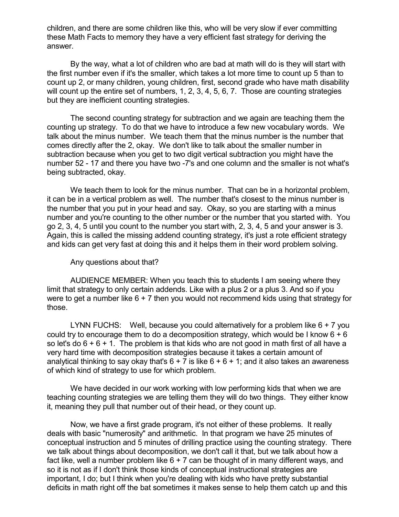children, and there are some children like this, who will be very slow if ever committing these Math Facts to memory they have a very efficient fast strategy for deriving the answer.

By the way, what a lot of children who are bad at math will do is they will start with the first number even if it's the smaller, which takes a lot more time to count up 5 than to count up 2, or many children, young children, first, second grade who have math disability will count up the entire set of numbers, 1, 2, 3, 4, 5, 6, 7. Those are counting strategies but they are inefficient counting strategies.

The second counting strategy for subtraction and we again are teaching them the counting up strategy. To do that we have to introduce a few new vocabulary words. We talk about the minus number. We teach them that the minus number is the number that comes directly after the 2, okay. We don't like to talk about the smaller number in subtraction because when you get to two digit vertical subtraction you might have the number 52 - 17 and there you have two -7's and one column and the smaller is not what's being subtracted, okay.

We teach them to look for the minus number. That can be in a horizontal problem, it can be in a vertical problem as well. The number that's closest to the minus number is the number that you put in your head and say. Okay, so you are starting with a minus number and you're counting to the other number or the number that you started with. You go 2, 3, 4, 5 until you count to the number you start with, 2, 3, 4, 5 and your answer is 3. Again, this is called the missing addend counting strategy, it's just a rote efficient strategy and kids can get very fast at doing this and it helps them in their word problem solving.

#### Any questions about that?

AUDIENCE MEMBER: When you teach this to students I am seeing where they limit that strategy to only certain addends. Like with a plus 2 or a plus 3. And so if you were to get a number like  $6 + 7$  then you would not recommend kids using that strategy for those.

LYNN FUCHS: Well, because you could alternatively for a problem like  $6 + 7$  you could try to encourage them to do a decomposition strategy, which would be I know  $6 + 6$ so let's do  $6 + 6 + 1$ . The problem is that kids who are not good in math first of all have a very hard time with decomposition strategies because it takes a certain amount of analytical thinking to say okay that's  $6 + 7$  is like  $6 + 6 + 1$ ; and it also takes an awareness of which kind of strategy to use for which problem.

We have decided in our work working with low performing kids that when we are teaching counting strategies we are telling them they will do two things. They either know it, meaning they pull that number out of their head, or they count up.

Now, we have a first grade program, it's not either of these problems. It really deals with basic "numerosity" and arithmetic. In that program we have 25 minutes of conceptual instruction and 5 minutes of drilling practice using the counting strategy. There we talk about things about decomposition, we don't call it that, but we talk about how a fact like, well a number problem like  $6 + 7$  can be thought of in many different ways, and so it is not as if I don't think those kinds of conceptual instructional strategies are important, I do; but I think when you're dealing with kids who have pretty substantial deficits in math right off the bat sometimes it makes sense to help them catch up and this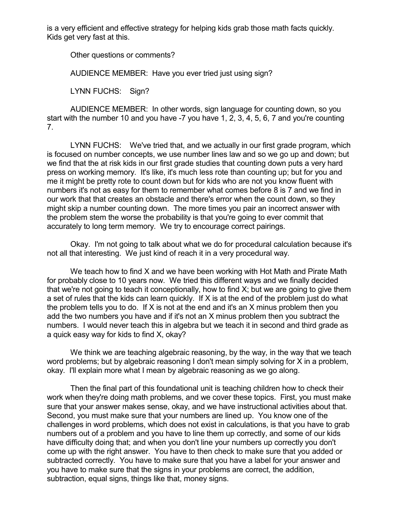is a very efficient and effective strategy for helping kids grab those math facts quickly. Kids get very fast at this.

Other questions or comments?

AUDIENCE MEMBER: Have you ever tried just using sign?

LYNN FUCHS: Sign?

AUDIENCE MEMBER: In other words, sign language for counting down, so you start with the number 10 and you have -7 you have 1, 2, 3, 4, 5, 6, 7 and you're counting 7.

LYNN FUCHS: We've tried that, and we actually in our first grade program, which is focused on number concepts, we use number lines law and so we go up and down; but we find that the at risk kids in our first grade studies that counting down puts a very hard press on working memory. It's like, it's much less rote than counting up; but for you and me it might be pretty rote to count down but for kids who are not you know fluent with numbers it's not as easy for them to remember what comes before 8 is 7 and we find in our work that that creates an obstacle and there's error when the count down, so they might skip a number counting down. The more times you pair an incorrect answer with the problem stem the worse the probability is that you're going to ever commit that accurately to long term memory. We try to encourage correct pairings.

Okay. I'm not going to talk about what we do for procedural calculation because it's not all that interesting. We just kind of reach it in a very procedural way.

We teach how to find X and we have been working with Hot Math and Pirate Math for probably close to 10 years now. We tried this different ways and we finally decided that we're not going to teach it conceptionally, how to find X; but we are going to give them a set of rules that the kids can learn quickly. If X is at the end of the problem just do what the problem tells you to do. If X is not at the end and it's an X minus problem then you add the two numbers you have and if it's not an X minus problem then you subtract the numbers. I would never teach this in algebra but we teach it in second and third grade as a quick easy way for kids to find X, okay?

We think we are teaching algebraic reasoning, by the way, in the way that we teach word problems; but by algebraic reasoning I don't mean simply solving for X in a problem, okay. I'll explain more what I mean by algebraic reasoning as we go along.

Then the final part of this foundational unit is teaching children how to check their work when they're doing math problems, and we cover these topics. First, you must make sure that your answer makes sense, okay, and we have instructional activities about that. Second, you must make sure that your numbers are lined up. You know one of the challenges in word problems, which does not exist in calculations, is that you have to grab numbers out of a problem and you have to line them up correctly, and some of our kids have difficulty doing that; and when you don't line your numbers up correctly you don't come up with the right answer. You have to then check to make sure that you added or subtracted correctly. You have to make sure that you have a label for your answer and you have to make sure that the signs in your problems are correct, the addition, subtraction, equal signs, things like that, money signs.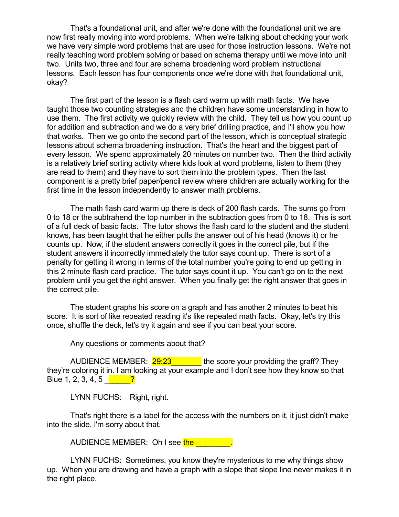That's a foundational unit, and after we're done with the foundational unit we are now first really moving into word problems. When we're talking about checking your work we have very simple word problems that are used for those instruction lessons. We're not really teaching word problem solving or based on schema therapy until we move into unit two. Units two, three and four are schema broadening word problem instructional lessons. Each lesson has four components once we're done with that foundational unit, okay?

The first part of the lesson is a flash card warm up with math facts. We have taught those two counting strategies and the children have some understanding in how to use them. The first activity we quickly review with the child. They tell us how you count up for addition and subtraction and we do a very brief drilling practice, and I'll show you how that works. Then we go onto the second part of the lesson, which is conceptual strategic lessons about schema broadening instruction. That's the heart and the biggest part of every lesson. We spend approximately 20 minutes on number two. Then the third activity is a relatively brief sorting activity where kids look at word problems, listen to them (they are read to them) and they have to sort them into the problem types. Then the last component is a pretty brief paper/pencil review where children are actually working for the first time in the lesson independently to answer math problems.

The math flash card warm up there is deck of 200 flash cards. The sums go from 0 to 18 or the subtrahend the top number in the subtraction goes from 0 to 18. This is sort of a full deck of basic facts. The tutor shows the flash card to the student and the student knows, has been taught that he either pulls the answer out of his head (knows it) or he counts up. Now, if the student answers correctly it goes in the correct pile, but if the student answers it incorrectly immediately the tutor says count up. There is sort of a penalty for getting it wrong in terms of the total number you're going to end up getting in this 2 minute flash card practice. The tutor says count it up. You can't go on to the next problem until you get the right answer. When you finally get the right answer that goes in the correct pile.

The student graphs his score on a graph and has another 2 minutes to beat his score. It is sort of like repeated reading it's like repeated math facts. Okay, let's try this once, shuffle the deck, let's try it again and see if you can beat your score.

Any questions or comments about that?

AUDIENCE MEMBER: 29:23 the score your providing the graff? They they're coloring it in. I am looking at your example and I don't see how they know so that Blue 1, 2, 3, 4, 5  $\frac{1}{2}$ 

LYNN FUCHS: Right, right.

That's right there is a label for the access with the numbers on it, it just didn't make into the slide. I'm sorry about that.

AUDIENCE MEMBER: Oh I see the

LYNN FUCHS: Sometimes, you know they're mysterious to me why things show up. When you are drawing and have a graph with a slope that slope line never makes it in the right place.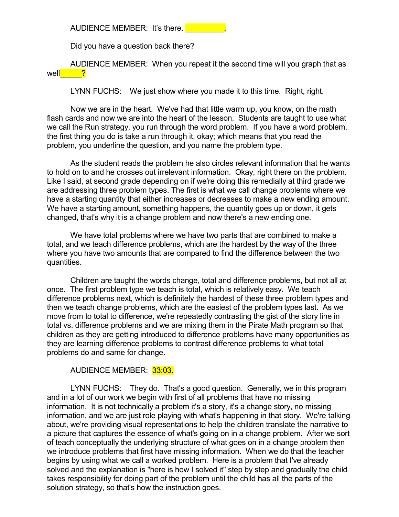AUDIENCE MEMBER: It's there.

Did you have a question back there?

AUDIENCE MEMBER: When you repeat it the second time will you graph that as well<sup>1</sup> 2

LYNN FUCHS: We just show where you made it to this time. Right, right.

Now we are in the heart. We've had that little warm up, you know, on the math flash cards and now we are into the heart of the lesson. Students are taught to use what we call the Run strategy, you run through the word problem. If you have a word problem, the first thing you do is take a run through it, okay; which means that you read the problem, you underline the question, and you name the problem type.

As the student reads the problem he also circles relevant information that he wants to hold on to and he crosses out irrelevant information. Okay, right there on the problem. Like I said, at second grade depending on if we're doing this remedially at third grade we are addressing three problem types. The first is what we call change problems where we have a starting quantity that either increases or decreases to make a new ending amount. We have a starting amount, something happens, the quantity goes up or down, it gets changed, that's why it is a change problem and now there's a new ending one.

We have total problems where we have two parts that are combined to make a total, and we teach difference problems, which are the hardest by the way of the three where you have two amounts that are compared to find the difference between the two quantities.

Children are taught the words change, total and difference problems, but not all at once. The first problem type we teach is total, which is relatively easy. We teach difference problems next, which is definitely the hardest of these three problem types and then we teach change problems, which are the easiest of the problem types last. As we move from to total to difference, we're repeatedly contrasting the gist of the story line in total vs. difference problems and we are mixing them in the Pirate Math program so that children as they are getting introduced to difference problems have many opportunities as they are learning difference problems to contrast difference problems to what total problems do and same for change.

AUDIENCE MEMBER: 33:03.

LYNN FUCHS: They do. That's a good question. Generally, we in this program and in a lot of our work we begin with first of all problems that have no missing information. It is not technically a problem it's a story, it's a change story, no missing information, and we are just role playing with what's happening in that story. We're talking about, we're providing visual representations to help the children translate the narrative to a picture that captures the essence of what's going on in a change problem. After we sort of teach conceptually the underlying structure of what goes on in a change problem then we introduce problems that first have missing information. When we do that the teacher begins by using what we call a worked problem. Here is a problem that I've already solved and the explanation is "here is how I solved it" step by step and gradually the child takes responsibility for doing part of the problem until the child has all the parts of the solution strategy, so that's how the instruction goes.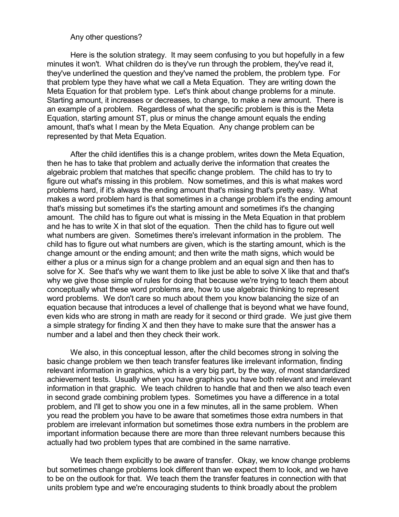#### Any other questions?

Here is the solution strategy. It may seem confusing to you but hopefully in a few minutes it won't. What children do is they've run through the problem, they've read it, they've underlined the question and they've named the problem, the problem type. For that problem type they have what we call a Meta Equation. They are writing down the Meta Equation for that problem type. Let's think about change problems for a minute. Starting amount, it increases or decreases, to change, to make a new amount. There is an example of a problem. Regardless of what the specific problem is this is the Meta Equation, starting amount ST, plus or minus the change amount equals the ending amount, that's what I mean by the Meta Equation. Any change problem can be represented by that Meta Equation.

After the child identifies this is a change problem, writes down the Meta Equation, then he has to take that problem and actually derive the information that creates the algebraic problem that matches that specific change problem. The child has to try to figure out what's missing in this problem. Now sometimes, and this is what makes word problems hard, if it's always the ending amount that's missing that's pretty easy. What makes a word problem hard is that sometimes in a change problem it's the ending amount that's missing but sometimes it's the starting amount and sometimes it's the changing amount. The child has to figure out what is missing in the Meta Equation in that problem and he has to write X in that slot of the equation. Then the child has to figure out well what numbers are given. Sometimes there's irrelevant information in the problem. The child has to figure out what numbers are given, which is the starting amount, which is the change amount or the ending amount; and then write the math signs, which would be either a plus or a minus sign for a change problem and an equal sign and then has to solve for X. See that's why we want them to like just be able to solve X like that and that's why we give those simple of rules for doing that because we're trying to teach them about conceptually what these word problems are, how to use algebraic thinking to represent word problems. We don't care so much about them you know balancing the size of an equation because that introduces a level of challenge that is beyond what we have found, even kids who are strong in math are ready for it second or third grade. We just give them a simple strategy for finding X and then they have to make sure that the answer has a number and a label and then they check their work.

We also, in this conceptual lesson, after the child becomes strong in solving the basic change problem we then teach transfer features like irrelevant information, finding relevant information in graphics, which is a very big part, by the way, of most standardized achievement tests. Usually when you have graphics you have both relevant and irrelevant information in that graphic. We teach children to handle that and then we also teach even in second grade combining problem types. Sometimes you have a difference in a total problem, and I'll get to show you one in a few minutes, all in the same problem. When you read the problem you have to be aware that sometimes those extra numbers in that problem are irrelevant information but sometimes those extra numbers in the problem are important information because there are more than three relevant numbers because this actually had two problem types that are combined in the same narrative.

We teach them explicitly to be aware of transfer. Okay, we know change problems but sometimes change problems look different than we expect them to look, and we have to be on the outlook for that. We teach them the transfer features in connection with that units problem type and we're encouraging students to think broadly about the problem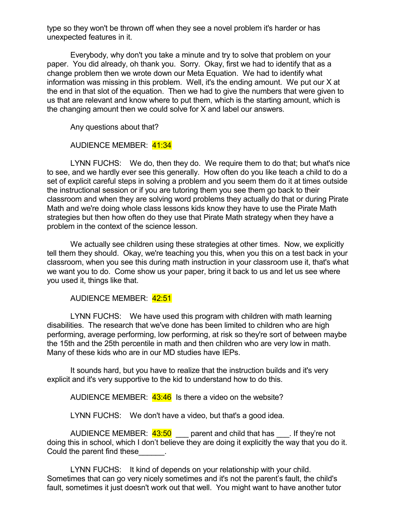type so they won't be thrown off when they see a novel problem it's harder or has unexpected features in it.

Everybody, why don't you take a minute and try to solve that problem on your paper. You did already, oh thank you. Sorry. Okay, first we had to identify that as a change problem then we wrote down our Meta Equation. We had to identify what information was missing in this problem. Well, it's the ending amount. We put our X at the end in that slot of the equation. Then we had to give the numbers that were given to us that are relevant and know where to put them, which is the starting amount, which is the changing amount then we could solve for X and label our answers.

Any questions about that?

AUDIENCE MEMBER: 41:34

LYNN FUCHS: We do, then they do. We require them to do that; but what's nice to see, and we hardly ever see this generally. How often do you like teach a child to do a set of explicit careful steps in solving a problem and you seem them do it at times outside the instructional session or if you are tutoring them you see them go back to their classroom and when they are solving word problems they actually do that or during Pirate Math and we're doing whole class lessons kids know they have to use the Pirate Math strategies but then how often do they use that Pirate Math strategy when they have a problem in the context of the science lesson.

We actually see children using these strategies at other times. Now, we explicitly tell them they should. Okay, we're teaching you this, when you this on a test back in your classroom, when you see this during math instruction in your classroom use it, that's what we want you to do. Come show us your paper, bring it back to us and let us see where you used it, things like that.

### AUDIENCE MEMBER: 42:51

LYNN FUCHS: We have used this program with children with math learning disabilities. The research that we've done has been limited to children who are high performing, average performing, low performing, at risk so they're sort of between maybe the 15th and the 25th percentile in math and then children who are very low in math. Many of these kids who are in our MD studies have IEPs.

It sounds hard, but you have to realize that the instruction builds and it's very explicit and it's very supportive to the kid to understand how to do this.

AUDIENCE MEMBER: 43:46 Is there a video on the website?

LYNN FUCHS: We don't have a video, but that's a good idea.

AUDIENCE MEMBER:  $43.50$  parent and child that has Figure not doing this in school, which I don't believe they are doing it explicitly the way that you do it. Could the parent find these\_\_\_\_\_\_.

LYNN FUCHS: It kind of depends on your relationship with your child. Sometimes that can go very nicely sometimes and it's not the parent's fault, the child's fault, sometimes it just doesn't work out that well. You might want to have another tutor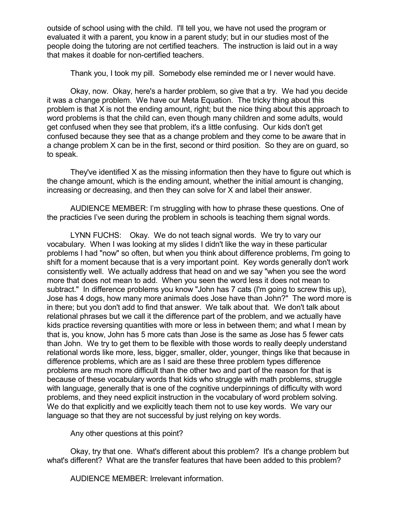outside of school using with the child. I'll tell you, we have not used the program or evaluated it with a parent, you know in a parent study; but in our studies most of the people doing the tutoring are not certified teachers. The instruction is laid out in a way that makes it doable for non-certified teachers.

Thank you, I took my pill. Somebody else reminded me or I never would have.

Okay, now. Okay, here's a harder problem, so give that a try. We had you decide it was a change problem. We have our Meta Equation. The tricky thing about this problem is that X is not the ending amount, right; but the nice thing about this approach to word problems is that the child can, even though many children and some adults, would get confused when they see that problem, it's a little confusing. Our kids don't get confused because they see that as a change problem and they come to be aware that in a change problem X can be in the first, second or third position. So they are on guard, so to speak.

They've identified X as the missing information then they have to figure out which is the change amount, which is the ending amount, whether the initial amount is changing, increasing or decreasing, and then they can solve for X and label their answer.

AUDIENCE MEMBER: I'm struggling with how to phrase these questions. One of the practicies I've seen during the problem in schools is teaching them signal words.

LYNN FUCHS: Okay. We do not teach signal words. We try to vary our vocabulary. When I was looking at my slides I didn't like the way in these particular problems I had "now" so often, but when you think about difference problems, I'm going to shift for a moment because that is a very important point. Key words generally don't work consistently well. We actually address that head on and we say "when you see the word more that does not mean to add. When you seen the word less it does not mean to subtract." In difference problems you know "John has 7 cats (I'm going to screw this up), Jose has 4 dogs, how many more animals does Jose have than John?" The word more is in there; but you don't add to find that answer. We talk about that. We don't talk about relational phrases but we call it the difference part of the problem, and we actually have kids practice reversing quantities with more or less in between them; and what I mean by that is, you know, John has 5 more cats than Jose is the same as Jose has 5 fewer cats than John. We try to get them to be flexible with those words to really deeply understand relational words like more, less, bigger, smaller, older, younger, things like that because in difference problems, which are as I said are these three problem types difference problems are much more difficult than the other two and part of the reason for that is because of these vocabulary words that kids who struggle with math problems, struggle with language, generally that is one of the cognitive underpinnings of difficulty with word problems, and they need explicit instruction in the vocabulary of word problem solving. We do that explicitly and we explicitly teach them not to use key words. We vary our language so that they are not successful by just relying on key words.

Any other questions at this point?

Okay, try that one. What's different about this problem? It's a change problem but what's different? What are the transfer features that have been added to this problem?

AUDIENCE MEMBER: Irrelevant information.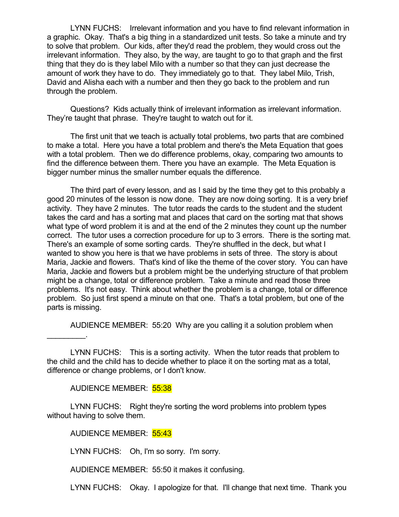LYNN FUCHS: Irrelevant information and you have to find relevant information in a graphic. Okay. That's a big thing in a standardized unit tests. So take a minute and try to solve that problem. Our kids, after they'd read the problem, they would cross out the irrelevant information. They also, by the way, are taught to go to that graph and the first thing that they do is they label Milo with a number so that they can just decrease the amount of work they have to do. They immediately go to that. They label Milo, Trish, David and Alisha each with a number and then they go back to the problem and run through the problem.

Questions? Kids actually think of irrelevant information as irrelevant information. They're taught that phrase. They're taught to watch out for it.

The first unit that we teach is actually total problems, two parts that are combined to make a total. Here you have a total problem and there's the Meta Equation that goes with a total problem. Then we do difference problems, okay, comparing two amounts to find the difference between them. There you have an example. The Meta Equation is bigger number minus the smaller number equals the difference.

The third part of every lesson, and as I said by the time they get to this probably a good 20 minutes of the lesson is now done. They are now doing sorting. It is a very brief activity. They have 2 minutes. The tutor reads the cards to the student and the student takes the card and has a sorting mat and places that card on the sorting mat that shows what type of word problem it is and at the end of the 2 minutes they count up the number correct. The tutor uses a correction procedure for up to 3 errors. There is the sorting mat. There's an example of some sorting cards. They're shuffled in the deck, but what I wanted to show you here is that we have problems in sets of three. The story is about Maria, Jackie and flowers. That's kind of like the theme of the cover story. You can have Maria, Jackie and flowers but a problem might be the underlying structure of that problem might be a change, total or difference problem. Take a minute and read those three problems. It's not easy. Think about whether the problem is a change, total or difference problem. So just first spend a minute on that one. That's a total problem, but one of the parts is missing.

AUDIENCE MEMBER: 55:20 Why are you calling it a solution problem when

LYNN FUCHS: This is a sorting activity. When the tutor reads that problem to the child and the child has to decide whether to place it on the sorting mat as a total, difference or change problems, or I don't know.

AUDIENCE MEMBER: 55:38

 $\mathcal{L}=\mathcal{L}^{\mathcal{L}}$ 

LYNN FUCHS: Right they're sorting the word problems into problem types without having to solve them.

AUDIENCE MEMBER: 55:43

LYNN FUCHS: Oh, I'm so sorry. I'm sorry.

AUDIENCE MEMBER: 55:50 it makes it confusing.

LYNN FUCHS: Okay. I apologize for that. I'll change that next time. Thank you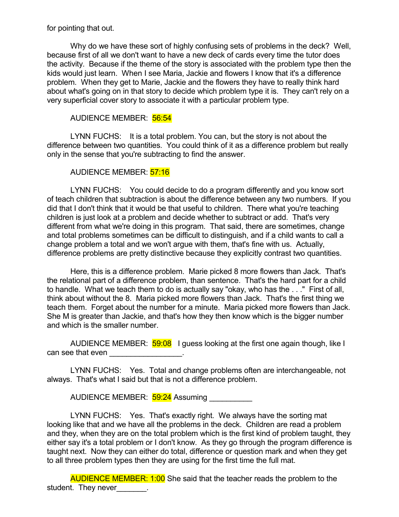for pointing that out.

Why do we have these sort of highly confusing sets of problems in the deck? Well, because first of all we don't want to have a new deck of cards every time the tutor does the activity. Because if the theme of the story is associated with the problem type then the kids would just learn. When I see Maria, Jackie and flowers I know that it's a difference problem. When they get to Marie, Jackie and the flowers they have to really think hard about what's going on in that story to decide which problem type it is. They can't rely on a very superficial cover story to associate it with a particular problem type.

# AUDIENCE MEMBER: 56:54

LYNN FUCHS: It is a total problem. You can, but the story is not about the difference between two quantities. You could think of it as a difference problem but really only in the sense that you're subtracting to find the answer.

# AUDIENCE MEMBER: 57:16

LYNN FUCHS: You could decide to do a program differently and you know sort of teach children that subtraction is about the difference between any two numbers. If you did that I don't think that it would be that useful to children. There what you're teaching children is just look at a problem and decide whether to subtract or add. That's very different from what we're doing in this program. That said, there are sometimes, change and total problems sometimes can be difficult to distinguish, and if a child wants to call a change problem a total and we won't argue with them, that's fine with us. Actually, difference problems are pretty distinctive because they explicitly contrast two quantities.

Here, this is a difference problem. Marie picked 8 more flowers than Jack. That's the relational part of a difference problem, than sentence. That's the hard part for a child to handle. What we teach them to do is actually say "okay, who has the . . ." First of all, think about without the 8. Maria picked more flowers than Jack. That's the first thing we teach them. Forget about the number for a minute. Maria picked more flowers than Jack. She M is greater than Jackie, and that's how they then know which is the bigger number and which is the smaller number.

AUDIENCE MEMBER: 59:08 I guess looking at the first one again though, like I can see that even

LYNN FUCHS: Yes. Total and change problems often are interchangeable, not always. That's what I said but that is not a difference problem.

AUDIENCE MEMBER: 59:24 Assuming

LYNN FUCHS: Yes. That's exactly right. We always have the sorting mat looking like that and we have all the problems in the deck. Children are read a problem and they, when they are on the total problem which is the first kind of problem taught, they either say it's a total problem or I don't know. As they go through the program difference is taught next. Now they can either do total, difference or question mark and when they get to all three problem types then they are using for the first time the full mat.

**AUDIENCE MEMBER: 1:00** She said that the teacher reads the problem to the student. They never containing the student.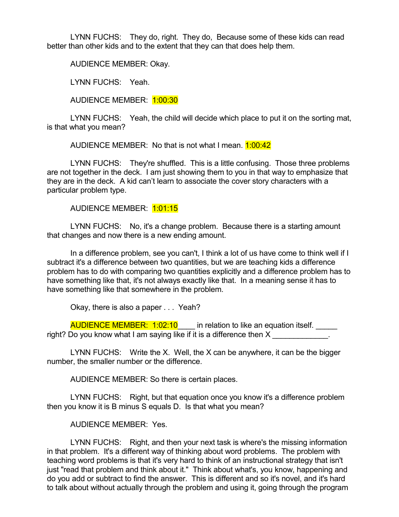LYNN FUCHS: They do, right. They do, Because some of these kids can read better than other kids and to the extent that they can that does help them.

AUDIENCE MEMBER: Okay.

LYNN FUCHS: Yeah.

AUDIENCE MEMBER: 1:00:30

LYNN FUCHS: Yeah, the child will decide which place to put it on the sorting mat, is that what you mean?

AUDIENCE MEMBER: No that is not what I mean. **1:00:42** 

LYNN FUCHS: They're shuffled. This is a little confusing. Those three problems are not together in the deck. I am just showing them to you in that way to emphasize that they are in the deck. A kid can't learn to associate the cover story characters with a particular problem type.

AUDIENCE MEMBER: 1:01:15

LYNN FUCHS: No, it's a change problem. Because there is a starting amount that changes and now there is a new ending amount.

In a difference problem, see you can't, I think a lot of us have come to think well if I subtract it's a difference between two quantities, but we are teaching kids a difference problem has to do with comparing two quantities explicitly and a difference problem has to have something like that, it's not always exactly like that. In a meaning sense it has to have something like that somewhere in the problem.

Okay, there is also a paper . . . Yeah?

AUDIENCE MEMBER: 1:02:10 in relation to like an equation itself. right? Do you know what I am saying like if it is a difference then X

LYNN FUCHS: Write the X. Well, the X can be anywhere, it can be the bigger number, the smaller number or the difference.

AUDIENCE MEMBER: So there is certain places.

LYNN FUCHS: Right, but that equation once you know it's a difference problem then you know it is B minus S equals D. Is that what you mean?

AUDIENCE MEMBER: Yes.

LYNN FUCHS: Right, and then your next task is where's the missing information in that problem. It's a different way of thinking about word problems. The problem with teaching word problems is that it's very hard to think of an instructional strategy that isn't just "read that problem and think about it." Think about what's, you know, happening and do you add or subtract to find the answer. This is different and so it's novel, and it's hard to talk about without actually through the problem and using it, going through the program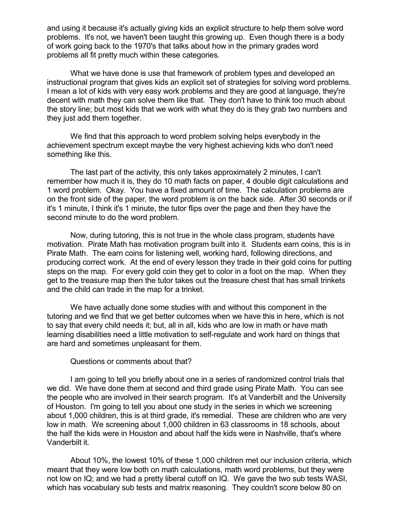and using it because it's actually giving kids an explicit structure to help them solve word problems. It's not, we haven't been taught this growing up. Even though there is a body of work going back to the 1970's that talks about how in the primary grades word problems all fit pretty much within these categories.

What we have done is use that framework of problem types and developed an instructional program that gives kids an explicit set of strategies for solving word problems. I mean a lot of kids with very easy work problems and they are good at language, they're decent with math they can solve them like that. They don't have to think too much about the story line; but most kids that we work with what they do is they grab two numbers and they just add them together.

We find that this approach to word problem solving helps everybody in the achievement spectrum except maybe the very highest achieving kids who don't need something like this.

The last part of the activity, this only takes approximately 2 minutes, I can't remember how much it is, they do 10 math facts on paper, 4 double digit calculations and 1 word problem. Okay. You have a fixed amount of time. The calculation problems are on the front side of the paper, the word problem is on the back side. After 30 seconds or if it's 1 minute, I think it's 1 minute, the tutor flips over the page and then they have the second minute to do the word problem.

Now, during tutoring, this is not true in the whole class program, students have motivation. Pirate Math has motivation program built into it. Students earn coins, this is in Pirate Math. The earn coins for listening well, working hard, following directions, and producing correct work. At the end of every lesson they trade in their gold coins for putting steps on the map. For every gold coin they get to color in a foot on the map. When they get to the treasure map then the tutor takes out the treasure chest that has small trinkets and the child can trade in the map for a trinket.

We have actually done some studies with and without this component in the tutoring and we find that we get better outcomes when we have this in here, which is not to say that every child needs it; but, all in all, kids who are low in math or have math learning disabilities need a little motivation to self-regulate and work hard on things that are hard and sometimes unpleasant for them.

#### Questions or comments about that?

I am going to tell you briefly about one in a series of randomized control trials that we did. We have done them at second and third grade using Pirate Math. You can see the people who are involved in their search program. It's at Vanderbilt and the University of Houston. I'm going to tell you about one study in the series in which we screening about 1,000 children, this is at third grade, it's remedial. These are children who are very low in math. We screening about 1,000 children in 63 classrooms in 18 schools, about the half the kids were in Houston and about half the kids were in Nashville, that's where Vanderbilt it.

About 10%, the lowest 10% of these 1,000 children met our inclusion criteria, which meant that they were low both on math calculations, math word problems, but they were not low on IQ; and we had a pretty liberal cutoff on IQ. We gave the two sub tests WASI, which has vocabulary sub tests and matrix reasoning. They couldn't score below 80 on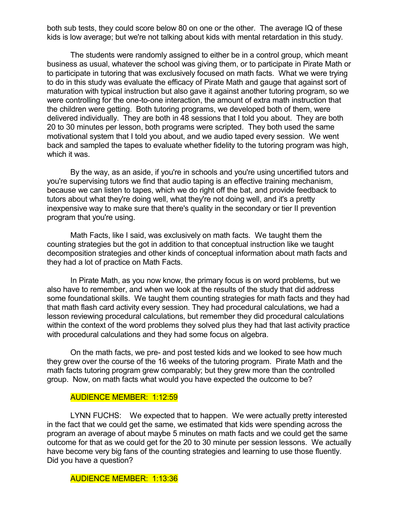both sub tests, they could score below 80 on one or the other. The average IQ of these kids is low average; but we're not talking about kids with mental retardation in this study.

The students were randomly assigned to either be in a control group, which meant business as usual, whatever the school was giving them, or to participate in Pirate Math or to participate in tutoring that was exclusively focused on math facts. What we were trying to do in this study was evaluate the efficacy of Pirate Math and gauge that against sort of maturation with typical instruction but also gave it against another tutoring program, so we were controlling for the one-to-one interaction, the amount of extra math instruction that the children were getting. Both tutoring programs, we developed both of them, were delivered individually. They are both in 48 sessions that I told you about. They are both 20 to 30 minutes per lesson, both programs were scripted. They both used the same motivational system that I told you about, and we audio taped every session. We went back and sampled the tapes to evaluate whether fidelity to the tutoring program was high, which it was.

By the way, as an aside, if you're in schools and you're using uncertified tutors and you're supervising tutors we find that audio taping is an effective training mechanism, because we can listen to tapes, which we do right off the bat, and provide feedback to tutors about what they're doing well, what they're not doing well, and it's a pretty inexpensive way to make sure that there's quality in the secondary or tier II prevention program that you're using.

Math Facts, like I said, was exclusively on math facts. We taught them the counting strategies but the got in addition to that conceptual instruction like we taught decomposition strategies and other kinds of conceptual information about math facts and they had a lot of practice on Math Facts.

In Pirate Math, as you now know, the primary focus is on word problems, but we also have to remember, and when we look at the results of the study that did address some foundational skills. We taught them counting strategies for math facts and they had that math flash card activity every session. They had procedural calculations, we had a lesson reviewing procedural calculations, but remember they did procedural calculations within the context of the word problems they solved plus they had that last activity practice with procedural calculations and they had some focus on algebra.

On the math facts, we pre- and post tested kids and we looked to see how much they grew over the course of the 16 weeks of the tutoring program. Pirate Math and the math facts tutoring program grew comparably; but they grew more than the controlled group. Now, on math facts what would you have expected the outcome to be?

### AUDIENCE MEMBER: 1:12:59

LYNN FUCHS: We expected that to happen. We were actually pretty interested in the fact that we could get the same, we estimated that kids were spending across the program an average of about maybe 5 minutes on math facts and we could get the same outcome for that as we could get for the 20 to 30 minute per session lessons. We actually have become very big fans of the counting strategies and learning to use those fluently. Did you have a question?

AUDIENCE MEMBER: 1:13:36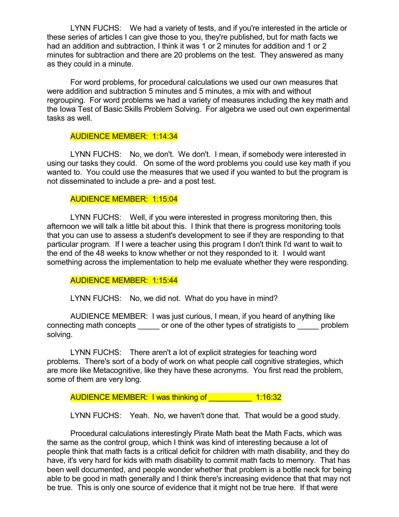LYNN FUCHS: We had a variety of tests, and if you're interested in the article or these series of articles I can give those to you, they're published, but for math facts we had an addition and subtraction, I think it was 1 or 2 minutes for addition and 1 or 2 minutes for subtraction and there are 20 problems on the test. They answered as many as they could in a minute.

For word problems, for procedural calculations we used our own measures that were addition and subtraction 5 minutes and 5 minutes, a mix with and without regrouping. For word problems we had a variety of measures including the key math and the Iowa Test of Basic Skills Problem Solving. For algebra we used out own experimental tasks as well.

# AUDIENCE MEMBER: 1:14:34

LYNN FUCHS: No, we don't. We don't. I mean, if somebody were interested in using our tasks they could. On some of the word problems you could use key math if you wanted to. You could use the measures that we used if you wanted to but the program is not disseminated to include a pre- and a post test.

### AUDIENCE MEMBER: 1:15:04

LYNN FUCHS: Well, if you were interested in progress monitoring then, this afternoon we will talk a little bit about this. I think that there is progress monitoring tools that you can use to assess a student's development to see if they are responding to that particular program. If I were a teacher using this program I don't think I'd want to wait to the end of the 48 weeks to know whether or not they responded to it. I would want something across the implementation to help me evaluate whether they were responding.

### AUDIENCE MEMBER: 1:15:44

LYNN FUCHS: No, we did not. What do you have in mind?

AUDIENCE MEMBER: I was just curious, I mean, if you heard of anything like connecting math concepts \_\_\_\_\_ or one of the other types of stratigists to \_\_\_\_\_ problem solving.

LYNN FUCHS: There aren't a lot of explicit strategies for teaching word problems. There's sort of a body of work on what people call cognitive strategies, which are more like Metacognitive, like they have these acronyms. You first read the problem, some of them are very long.

AUDIENCE MEMBER: I was thinking of \_\_\_\_\_\_\_\_\_\_ 1:16:32

LYNN FUCHS: Yeah. No, we haven't done that. That would be a good study.

Procedural calculations interestingly Pirate Math beat the Math Facts, which was the same as the control group, which I think was kind of interesting because a lot of people think that math facts is a critical deficit for children with math disability, and they do have, it's very hard for kids with math disability to commit math facts to memory. That has been well documented, and people wonder whether that problem is a bottle neck for being able to be good in math generally and I think there's increasing evidence that that may not be true. This is only one source of evidence that it might not be true here. If that were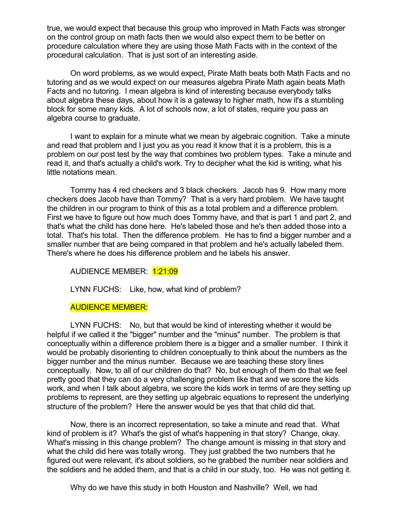true, we would expect that because this group who improved in Math Facts was stronger on the control group on math facts then we would also expect them to be better on procedure calculation where they are using those Math Facts with in the context of the procedural calculation. That is just sort of an interesting aside.

On word problems, as we would expect, Pirate Math beats both Math Facts and no tutoring and as we would expect on our measures algebra Pirate Math again beats Math Facts and no tutoring. I mean algebra is kind of interesting because everybody talks about algebra these days, about how it is a gateway to higher math, how it's a stumbling block for some many kids. A lot of schools now, a lot of states, require you pass an algebra course to graduate.

I want to explain for a minute what we mean by algebraic cognition. Take a minute and read that problem and I just you as you read it know that it is a problem, this is a problem on our post test by the way that combines two problem types. Take a minute and read it, and that's actually a child's work. Try to decipher what the kid is writing, what his little notations mean.

Tommy has 4 red checkers and 3 black checkers. Jacob has 9. How many more checkers does Jacob have than Tommy? That is a very hard problem. We have taught the children in our program to think of this as a total problem and a difference problem. First we have to figure out how much does Tommy have, and that is part 1 and part 2, and that's what the child has done here. He's labeled those and he's then added those into a total. That's his total. Then the difference problem. He has to find a bigger number and a smaller number that are being compared in that problem and he's actually labeled them. There's where he does his difference problem and he labels his answer.

AUDIENCE MEMBER: 1:21:09

LYNN FUCHS: Like, how, what kind of problem?

# AUDIENCE MEMBER:

LYNN FUCHS: No, but that would be kind of interesting whether it would be helpful if we called it the "bigger" number and the "minus" number. The problem is that conceptually within a difference problem there is a bigger and a smaller number. I think it would be probably disorienting to children conceptually to think about the numbers as the bigger number and the minus number. Because we are teaching these story lines conceptually. Now, to all of our children do that? No, but enough of them do that we feel pretty good that they can do a very challenging problem like that and we score the kids work, and when I talk about algebra, we score the kids work in terms of are they setting up problems to represent, are they setting up algebraic equations to represent the underlying structure of the problem? Here the answer would be yes that that child did that.

Now, there is an incorrect representation, so take a minute and read that. What kind of problem is it? What's the gist of what's happening in that story? Change, okay. What's missing in this change problem? The change amount is missing in that story and what the child did here was totally wrong. They just grabbed the two numbers that he figured out were relevant, it's about soldiers, so he grabbed the number near soldiers and the soldiers and he added them, and that is a child in our study, too. He was not getting it.

Why do we have this study in both Houston and Nashville? Well, we had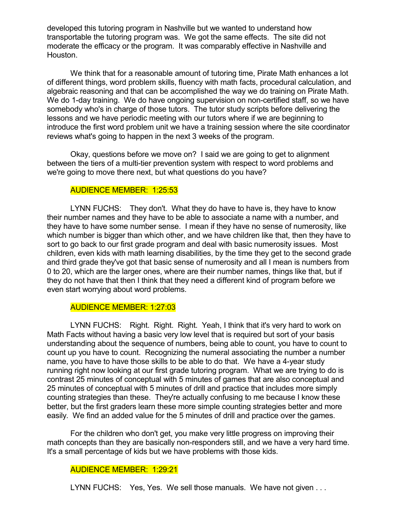developed this tutoring program in Nashville but we wanted to understand how transportable the tutoring program was. We got the same effects. The site did not moderate the efficacy or the program. It was comparably effective in Nashville and Houston.

We think that for a reasonable amount of tutoring time, Pirate Math enhances a lot of different things, word problem skills, fluency with math facts, procedural calculation, and algebraic reasoning and that can be accomplished the way we do training on Pirate Math. We do 1-day training. We do have ongoing supervision on non-certified staff, so we have somebody who's in charge of those tutors. The tutor study scripts before delivering the lessons and we have periodic meeting with our tutors where if we are beginning to introduce the first word problem unit we have a training session where the site coordinator reviews what's going to happen in the next 3 weeks of the program.

Okay, questions before we move on? I said we are going to get to alignment between the tiers of a multi-tier prevention system with respect to word problems and we're going to move there next, but what questions do you have?

### AUDIENCE MEMBER: 1:25:53

LYNN FUCHS: They don't. What they do have to have is, they have to know their number names and they have to be able to associate a name with a number, and they have to have some number sense. I mean if they have no sense of numerosity, like which number is bigger than which other, and we have children like that, then they have to sort to go back to our first grade program and deal with basic numerosity issues. Most children, even kids with math learning disabilities, by the time they get to the second grade and third grade they've got that basic sense of numerosity and all I mean is numbers from 0 to 20, which are the larger ones, where are their number names, things like that, but if they do not have that then I think that they need a different kind of program before we even start worrying about word problems.

#### AUDIENCE MEMBER: 1:27:03

LYNN FUCHS: Right. Right. Right. Yeah, I think that it's very hard to work on Math Facts without having a basic very low level that is required but sort of your basis understanding about the sequence of numbers, being able to count, you have to count to count up you have to count. Recognizing the numeral associating the number a number name, you have to have those skills to be able to do that. We have a 4-year study running right now looking at our first grade tutoring program. What we are trying to do is contrast 25 minutes of conceptual with 5 minutes of games that are also conceptual and 25 minutes of conceptual with 5 minutes of drill and practice that includes more simply counting strategies than these. They're actually confusing to me because I know these better, but the first graders learn these more simple counting strategies better and more easily. We find an added value for the 5 minutes of drill and practice over the games.

For the children who don't get, you make very little progress on improving their math concepts than they are basically non-responders still, and we have a very hard time. It's a small percentage of kids but we have problems with those kids.

### AUDIENCE MEMBER: 1:29:21

LYNN FUCHS: Yes, Yes. We sell those manuals. We have not given ...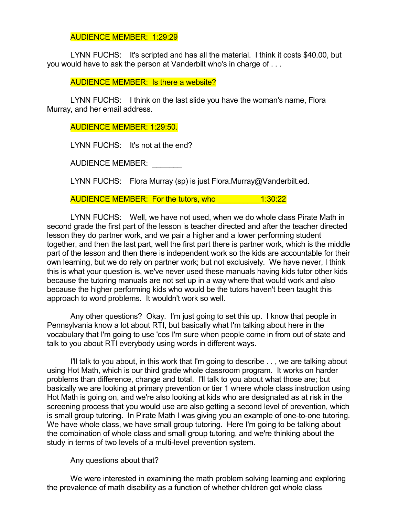# AUDIENCE MEMBER: 1:29:29

LYNN FUCHS: It's scripted and has all the material. I think it costs \$40.00, but you would have to ask the person at Vanderbilt who's in charge of . . .

AUDIENCE MEMBER: Is there a website?

LYNN FUCHS: I think on the last slide you have the woman's name, Flora Murray, and her email address.

# AUDIENCE MEMBER: 1:29:50.

LYNN FUCHS: It's not at the end?

AUDIENCE MEMBER:

LYNN FUCHS: Flora Murray (sp) is just Flora.Murray@Vanderbilt.ed.

AUDIENCE MEMBER: For the tutors, who \_\_\_\_\_\_\_\_\_\_1:30:22

LYNN FUCHS: Well, we have not used, when we do whole class Pirate Math in second grade the first part of the lesson is teacher directed and after the teacher directed lesson they do partner work, and we pair a higher and a lower performing student together, and then the last part, well the first part there is partner work, which is the middle part of the lesson and then there is independent work so the kids are accountable for their own learning, but we do rely on partner work; but not exclusively. We have never, I think this is what your question is, we've never used these manuals having kids tutor other kids because the tutoring manuals are not set up in a way where that would work and also because the higher performing kids who would be the tutors haven't been taught this approach to word problems. It wouldn't work so well.

Any other questions? Okay. I'm just going to set this up. I know that people in Pennsylvania know a lot about RTI, but basically what I'm talking about here in the vocabulary that I'm going to use 'cos I'm sure when people come in from out of state and talk to you about RTI everybody using words in different ways.

I'll talk to you about, in this work that I'm going to describe . . , we are talking about using Hot Math, which is our third grade whole classroom program. It works on harder problems than difference, change and total. I'll talk to you about what those are; but basically we are looking at primary prevention or tier 1 where whole class instruction using Hot Math is going on, and we're also looking at kids who are designated as at risk in the screening process that you would use are also getting a second level of prevention, which is small group tutoring. In Pirate Math I was giving you an example of one-to-one tutoring. We have whole class, we have small group tutoring. Here I'm going to be talking about the combination of whole class and small group tutoring, and we're thinking about the study in terms of two levels of a multi-level prevention system.

### Any questions about that?

We were interested in examining the math problem solving learning and exploring the prevalence of math disability as a function of whether children got whole class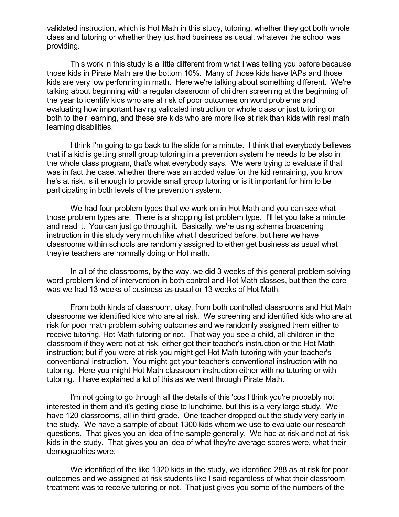validated instruction, which is Hot Math in this study, tutoring, whether they got both whole class and tutoring or whether they just had business as usual, whatever the school was providing.

This work in this study is a little different from what I was telling you before because those kids in Pirate Math are the bottom 10%. Many of those kids have IAPs and those kids are very low performing in math. Here we're talking about something different. We're talking about beginning with a regular classroom of children screening at the beginning of the year to identify kids who are at risk of poor outcomes on word problems and evaluating how important having validated instruction or whole class or just tutoring or both to their learning, and these are kids who are more like at risk than kids with real math learning disabilities.

I think I'm going to go back to the slide for a minute. I think that everybody believes that if a kid is getting small group tutoring in a prevention system he needs to be also in the whole class program, that's what everybody says. We were trying to evaluate if that was in fact the case, whether there was an added value for the kid remaining, you know he's at risk, is it enough to provide small group tutoring or is it important for him to be participating in both levels of the prevention system.

We had four problem types that we work on in Hot Math and you can see what those problem types are. There is a shopping list problem type. I'll let you take a minute and read it. You can just go through it. Basically, we're using schema broadening instruction in this study very much like what I described before, but here we have classrooms within schools are randomly assigned to either get business as usual what they're teachers are normally doing or Hot math.

In all of the classrooms, by the way, we did 3 weeks of this general problem solving word problem kind of intervention in both control and Hot Math classes, but then the core was we had 13 weeks of business as usual or 13 weeks of Hot Math.

From both kinds of classroom, okay, from both controlled classrooms and Hot Math classrooms we identified kids who are at risk. We screening and identified kids who are at risk for poor math problem solving outcomes and we randomly assigned them either to receive tutoring, Hot Math tutoring or not. That way you see a child, all children in the classroom if they were not at risk, either got their teacher's instruction or the Hot Math instruction; but if you were at risk you might get Hot Math tutoring with your teacher's conventional instruction. You might get your teacher's conventional instruction with no tutoring. Here you might Hot Math classroom instruction either with no tutoring or with tutoring. I have explained a lot of this as we went through Pirate Math.

I'm not going to go through all the details of this 'cos I think you're probably not interested in them and it's getting close to lunchtime, but this is a very large study. We have 120 classrooms, all in third grade. One teacher dropped out the study very early in the study. We have a sample of about 1300 kids whom we use to evaluate our research questions. That gives you an idea of the sample generally. We had at risk and not at risk kids in the study. That gives you an idea of what they're average scores were, what their demographics were.

We identified of the like 1320 kids in the study, we identified 288 as at risk for poor outcomes and we assigned at risk students like I said regardless of what their classroom treatment was to receive tutoring or not. That just gives you some of the numbers of the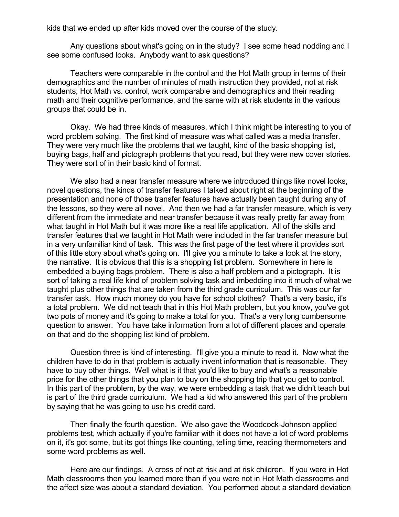kids that we ended up after kids moved over the course of the study.

Any questions about what's going on in the study? I see some head nodding and I see some confused looks. Anybody want to ask questions?

Teachers were comparable in the control and the Hot Math group in terms of their demographics and the number of minutes of math instruction they provided, not at risk students, Hot Math vs. control, work comparable and demographics and their reading math and their cognitive performance, and the same with at risk students in the various groups that could be in.

Okay. We had three kinds of measures, which I think might be interesting to you of word problem solving. The first kind of measure was what called was a media transfer. They were very much like the problems that we taught, kind of the basic shopping list, buying bags, half and pictograph problems that you read, but they were new cover stories. They were sort of in their basic kind of format.

We also had a near transfer measure where we introduced things like novel looks, novel questions, the kinds of transfer features I talked about right at the beginning of the presentation and none of those transfer features have actually been taught during any of the lessons, so they were all novel. And then we had a far transfer measure, which is very different from the immediate and near transfer because it was really pretty far away from what taught in Hot Math but it was more like a real life application. All of the skills and transfer features that we taught in Hot Math were included in the far transfer measure but in a very unfamiliar kind of task. This was the first page of the test where it provides sort of this little story about what's going on. I'll give you a minute to take a look at the story, the narrative. It is obvious that this is a shopping list problem. Somewhere in here is embedded a buying bags problem. There is also a half problem and a pictograph. It is sort of taking a real life kind of problem solving task and imbedding into it much of what we taught plus other things that are taken from the third grade curriculum. This was our far transfer task. How much money do you have for school clothes? That's a very basic, it's a total problem. We did not teach that in this Hot Math problem, but you know, you've got two pots of money and it's going to make a total for you. That's a very long cumbersome question to answer. You have take information from a lot of different places and operate on that and do the shopping list kind of problem.

Question three is kind of interesting. I'll give you a minute to read it. Now what the children have to do in that problem is actually invent information that is reasonable. They have to buy other things. Well what is it that you'd like to buy and what's a reasonable price for the other things that you plan to buy on the shopping trip that you get to control. In this part of the problem, by the way, we were embedding a task that we didn't teach but is part of the third grade curriculum. We had a kid who answered this part of the problem by saying that he was going to use his credit card.

Then finally the fourth question. We also gave the Woodcock-Johnson applied problems test, which actually if you're familiar with it does not have a lot of word problems on it, it's got some, but its got things like counting, telling time, reading thermometers and some word problems as well.

Here are our findings. A cross of not at risk and at risk children. If you were in Hot Math classrooms then you learned more than if you were not in Hot Math classrooms and the affect size was about a standard deviation. You performed about a standard deviation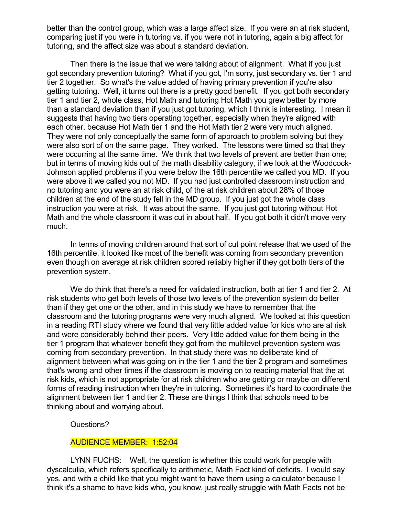better than the control group, which was a large affect size. If you were an at risk student, comparing just if you were in tutoring vs. if you were not in tutoring, again a big affect for tutoring, and the affect size was about a standard deviation.

Then there is the issue that we were talking about of alignment. What if you just got secondary prevention tutoring? What if you got, I'm sorry, just secondary vs. tier 1 and tier 2 together. So what's the value added of having primary prevention if you're also getting tutoring. Well, it turns out there is a pretty good benefit. If you got both secondary tier 1 and tier 2, whole class, Hot Math and tutoring Hot Math you grew better by more than a standard deviation than if you just got tutoring, which I think is interesting. I mean it suggests that having two tiers operating together, especially when they're aligned with each other, because Hot Math tier 1 and the Hot Math tier 2 were very much aligned. They were not only conceptually the same form of approach to problem solving but they were also sort of on the same page. They worked. The lessons were timed so that they were occurring at the same time. We think that two levels of prevent are better than one; but in terms of moving kids out of the math disability category, if we look at the Woodcock-Johnson applied problems if you were below the 16th percentile we called you MD. If you were above it we called you not MD. If you had just controlled classroom instruction and no tutoring and you were an at risk child, of the at risk children about 28% of those children at the end of the study fell in the MD group. If you just got the whole class instruction you were at risk. It was about the same. If you just got tutoring without Hot Math and the whole classroom it was cut in about half. If you got both it didn't move very much.

In terms of moving children around that sort of cut point release that we used of the 16th percentile, it looked like most of the benefit was coming from secondary prevention even though on average at risk children scored reliably higher if they got both tiers of the prevention system.

We do think that there's a need for validated instruction, both at tier 1 and tier 2. At risk students who get both levels of those two levels of the prevention system do better than if they get one or the other, and in this study we have to remember that the classroom and the tutoring programs were very much aligned. We looked at this question in a reading RTI study where we found that very little added value for kids who are at risk and were considerably behind their peers. Very little added value for them being in the tier 1 program that whatever benefit they got from the multilevel prevention system was coming from secondary prevention. In that study there was no deliberate kind of alignment between what was going on in the tier 1 and the tier 2 program and sometimes that's wrong and other times if the classroom is moving on to reading material that the at risk kids, which is not appropriate for at risk children who are getting or maybe on different forms of reading instruction when they're in tutoring. Sometimes it's hard to coordinate the alignment between tier 1 and tier 2. These are things I think that schools need to be thinking about and worrying about.

Questions?

### AUDIENCE MEMBER: 1:52:04

LYNN FUCHS: Well, the question is whether this could work for people with dyscalculia, which refers specifically to arithmetic, Math Fact kind of deficits. I would say yes, and with a child like that you might want to have them using a calculator because I think it's a shame to have kids who, you know, just really struggle with Math Facts not be